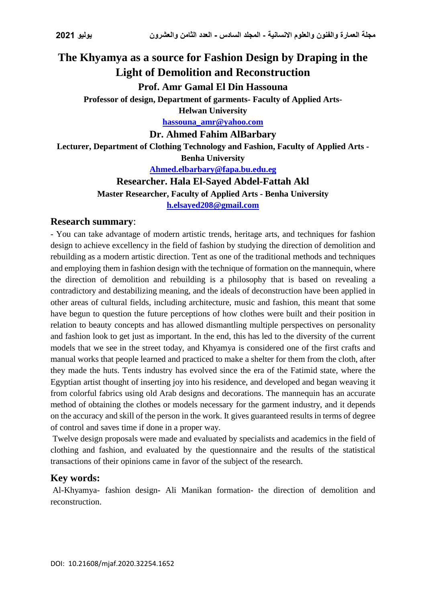# **The Khyamya as a source for Fashion Design by Draping in the Light of Demolition and Reconstruction**

#### **Prof. Amr Gamal El Din Hassouna**

**Professor of design, Department of garments- Faculty of Applied Arts-**

**Helwan University**

**[hassouna\\_amr@yahoo.com](mailto:hassouna_amr@yahoo.com)**

#### **Dr. Ahmed Fahim AlBarbary**

**Lecturer, Department of Clothing Technology and Fashion, Faculty of Applied Arts - Benha University**

**[Ahmed.elbarbary@fapa.bu.edu.eg](mailto:Ahmed.elbarbary@fapa.bu.edu.eg)**

#### **Researcher. Hala El-Sayed Abdel-Fattah Akl**

**Master Researcher, Faculty of Applied Arts - Benha University**

**[h.elsayed208@gmail.com](mailto:h.elsayed208@gmail.com)**

#### **Research summary**:

- You can take advantage of modern artistic trends, heritage arts, and techniques for fashion design to achieve excellency in the field of fashion by studying the direction of demolition and rebuilding as a modern artistic direction. Tent as one of the traditional methods and techniques and employing them in fashion design with the technique of formation on the mannequin, where the direction of demolition and rebuilding is a philosophy that is based on revealing a contradictory and destabilizing meaning, and the ideals of deconstruction have been applied in other areas of cultural fields, including architecture, music and fashion, this meant that some have begun to question the future perceptions of how clothes were built and their position in relation to beauty concepts and has allowed dismantling multiple perspectives on personality and fashion look to get just as important. In the end, this has led to the diversity of the current models that we see in the street today, and Khyamya is considered one of the first crafts and manual works that people learned and practiced to make a shelter for them from the cloth, after they made the huts. Tents industry has evolved since the era of the Fatimid state, where the Egyptian artist thought of inserting joy into his residence, and developed and began weaving it from colorful fabrics using old Arab designs and decorations. The mannequin has an accurate method of obtaining the clothes or models necessary for the garment industry, and it depends on the accuracy and skill of the person in the work. It gives guaranteed results in terms of degree of control and saves time if done in a proper way.

Twelve design proposals were made and evaluated by specialists and academics in the field of clothing and fashion, and evaluated by the questionnaire and the results of the statistical transactions of their opinions came in favor of the subject of the research.

#### **Key words:**

Al-Khyamya- fashion design- Ali Manikan formation- the direction of demolition and reconstruction.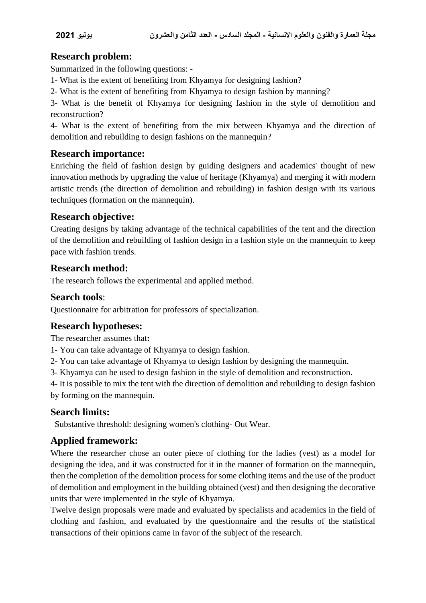# **Research problem:**

Summarized in the following questions: -

- 1- What is the extent of benefiting from Khyamya for designing fashion?
- 2- What is the extent of benefiting from Khyamya to design fashion by manning?

3- What is the benefit of Khyamya for designing fashion in the style of demolition and reconstruction?

4- What is the extent of benefiting from the mix between Khyamya and the direction of demolition and rebuilding to design fashions on the mannequin?

#### **Research importance:**

Enriching the field of fashion design by guiding designers and academics' thought of new innovation methods by upgrading the value of heritage (Khyamya) and merging it with modern artistic trends (the direction of demolition and rebuilding) in fashion design with its various techniques (formation on the mannequin).

# **Research objective:**

Creating designs by taking advantage of the technical capabilities of the tent and the direction of the demolition and rebuilding of fashion design in a fashion style on the mannequin to keep pace with fashion trends.

#### **Research method:**

The research follows the experimental and applied method.

#### **Search tools**:

Questionnaire for arbitration for professors of specialization.

# **Research hypotheses:**

The researcher assumes that**:**

- 1- You can take advantage of Khyamya to design fashion.
- 2- You can take advantage of Khyamya to design fashion by designing the mannequin.
- 3- Khyamya can be used to design fashion in the style of demolition and reconstruction.
- 4- It is possible to mix the tent with the direction of demolition and rebuilding to design fashion

by forming on the mannequin.

# **Search limits:**

Substantive threshold: designing women's clothing- Out Wear.

# **Applied framework:**

Where the researcher chose an outer piece of clothing for the ladies (vest) as a model for designing the idea, and it was constructed for it in the manner of formation on the mannequin, then the completion of the demolition process for some clothing items and the use of the product of demolition and employment in the building obtained (vest) and then designing the decorative units that were implemented in the style of Khyamya.

Twelve design proposals were made and evaluated by specialists and academics in the field of clothing and fashion, and evaluated by the questionnaire and the results of the statistical transactions of their opinions came in favor of the subject of the research.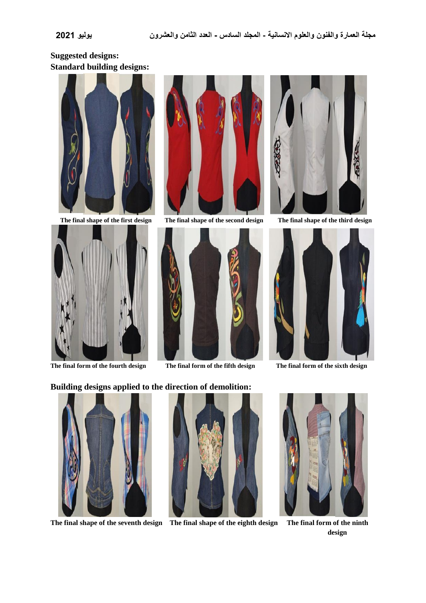# **Suggested designs: Standard building designs:**





**The final form of the fourth design The final form of the fifth design The final form of the sixth design** 



 **The final shape of the first design The final shape of the second design The final shape of the third design** 







#### **Building designs applied to the direction of demolition:**



**The final shape of the seventh design The final shape of the eighth design The final form of the ninth** 





**design to the control of the control of the control of the control of the control of the control of the control of the control of the control of the control of the control of the control of the control of the control of t**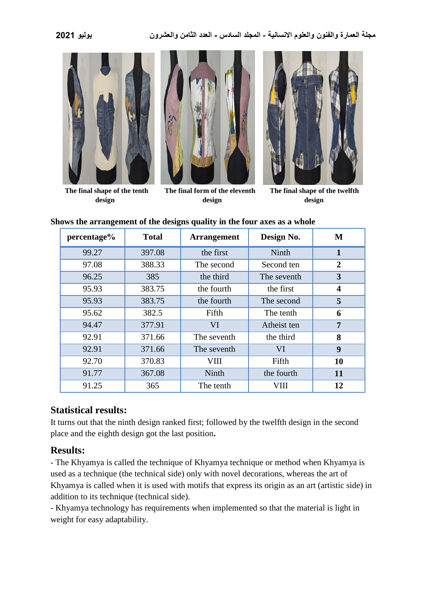

 **design design design**



**Shows the arrangement of the designs quality in the four axes as a whole**

| percentage% | <b>Total</b> | <b>Arrangement</b> | Design No.  | M              |
|-------------|--------------|--------------------|-------------|----------------|
| 99.27       | 397.08       | the first          | Ninth       | 1              |
| 97.08       | 388.33       | The second         | Second ten  | $\overline{2}$ |
| 96.25       | 385          | the third          | The seventh | 3              |
| 95.93       | 383.75       | the fourth         | the first   | 4              |
| 95.93       | 383.75       | the fourth         | The second  | 5              |
| 95.62       | 382.5        | Fifth              | The tenth   | 6              |
| 94.47       | 377.91       | <b>VI</b>          | Atheist ten | 7              |
| 92.91       | 371.66       | The seventh        | the third   | 8              |
| 92.91       | 371.66       | The seventh        | VI          | 9              |
| 92.70       | 370.83       | VIII               | Fifth       | 10             |
| 91.77       | 367.08       | Ninth              | the fourth  | 11             |
| 91.25       | 365          | The tenth          | VIII        | 12             |

#### **Statistical results:**

It turns out that the ninth design ranked first; followed by the twelfth design in the second place and the eighth design got the last position**.**

# **Results:**

- The Khyamya is called the technique of Khyamya technique or method when Khyamya is used as a technique (the technical side) only with novel decorations, whereas the art of Khyamya is called when it is used with motifs that express its origin as an art (artistic side) in addition to its technique (technical side).

- Khyamya technology has requirements when implemented so that the material is light in weight for easy adaptability.